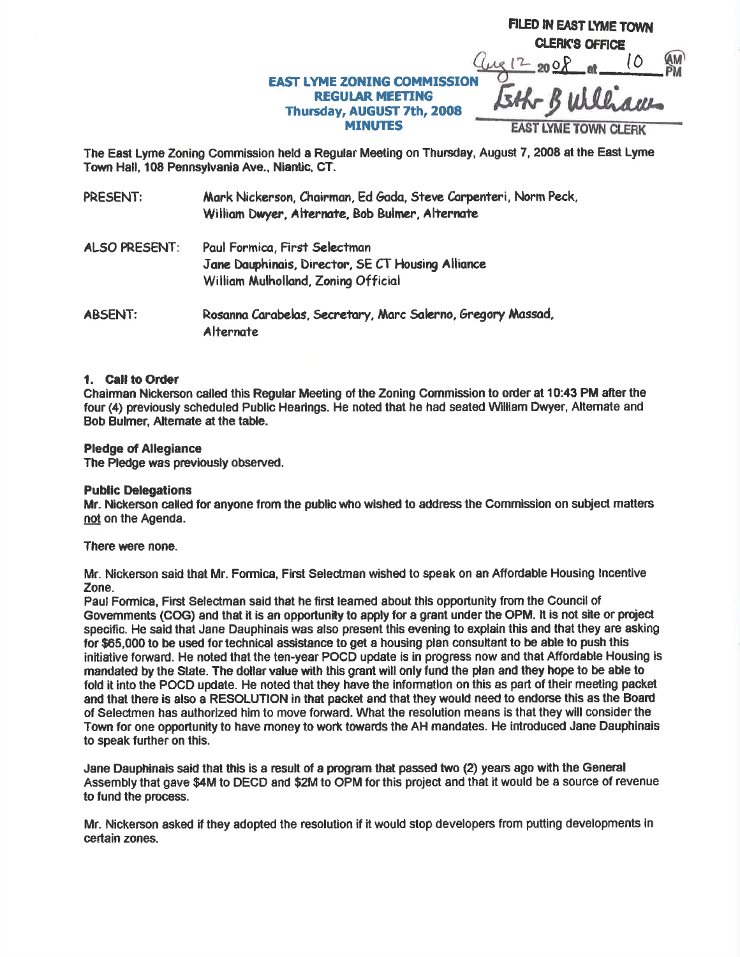|                                                                                                              | FILED IN EAST LYME TOWN     |
|--------------------------------------------------------------------------------------------------------------|-----------------------------|
|                                                                                                              | <b>CLERK'S OFFICE</b>       |
|                                                                                                              | $2 - 200$                   |
| <b>EAST LYME ZONING COMMISSION</b><br><b>REGULAR MEETING</b><br>Thursday, AUGUST 7th, 2008<br><b>MINUTES</b> | Bulleon                     |
|                                                                                                              | <b>EAST LYME TOWN CLERK</b> |

The East Lyme Zoning Commission held a Regular Meeting on Thursday, August 7, 2008 at the East Lyme Town Hall, 108 Pennsylvania Ave., Niantic, CT.

| PRESENT:             | Mark Nickerson, Chairman, Ed Gada, Steve Carpenteri, Norm Peck,<br>William Dwyer, Alternate, Bob Bulmer, Alternate        |
|----------------------|---------------------------------------------------------------------------------------------------------------------------|
| <b>ALSO PRESENT:</b> | Paul Formica, First Selectman<br>Jane Dauphinais, Director, SE CT Housing Alliance<br>William Mulholland, Zoning Official |
| <b>ABSENT:</b>       | Rosanna Carabelas, Secretary, Marc Salerno, Gregory Massad,<br>Alternate                                                  |

#### 1. Call to Order

Chairman Nickerson called this Regular Meeting of the Zoning Commission to order at 10:43 PM after the four (4) previously scheduled Public Hearings. He noted that he had seated William Dwyer, Alternate and Bob Bulmer, Alternate at the table.

### **Pledge of Allegiance**

The Pledge was previously observed.

#### **Public Delegations**

Mr. Nickerson called for anyone from the public who wished to address the Commission on subject matters not on the Agenda.

There were none.

Mr. Nickerson said that Mr. Formica, First Selectman wished to speak on an Affordable Housing Incentive Zone.

Paul Formica, First Selectman said that he first learned about this opportunity from the Council of Governments (COG) and that it is an opportunity to apply for a grant under the OPM. It is not site or project specific. He said that Jane Dauphinais was also present this evening to explain this and that they are asking for \$65,000 to be used for technical assistance to get a housing plan consultant to be able to push this initiative forward. He noted that the ten-year POCD update is in progress now and that Affordable Housing is mandated by the State. The dollar value with this grant will only fund the plan and they hope to be able to fold it into the POCD update. He noted that they have the information on this as part of their meeting packet and that there is also a RESOLUTION in that packet and that they would need to endorse this as the Board of Selectmen has authorized him to move forward. What the resolution means is that they will consider the Town for one opportunity to have money to work towards the AH mandates. He introduced Jane Dauphinais to speak further on this.

Jane Dauphinais said that this is a result of a program that passed two (2) years ago with the General Assembly that gave \$4M to DECD and \$2M to OPM for this project and that it would be a source of revenue to fund the process.

Mr. Nickerson asked if they adopted the resolution if it would stop developers from putting developments in certain zones.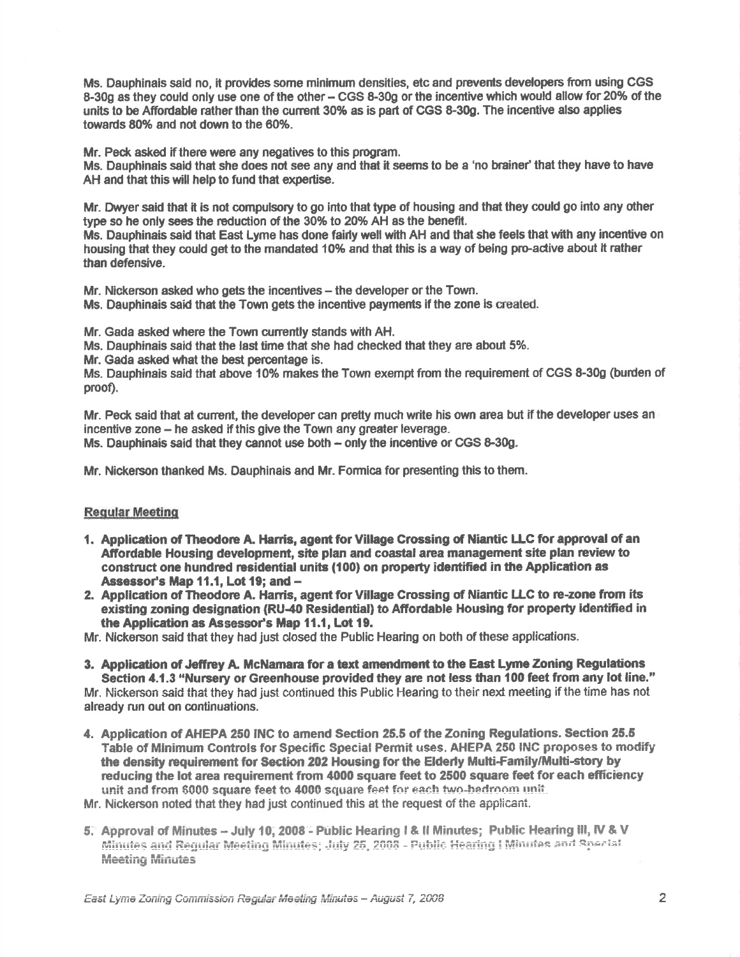Ms. Dauphinais said no, it provides some minimum densities, etc and prevents developers from using CGS 8-30g as they could only use one of the other - CGS 8-30g or the incentive which would allow for 20% of the units to be Affordable rather than the current 30% as is part of CGS 8-30g. The incentive also applies towards 80% and not down to the 60%.

Mr. Peck asked if there were any negatives to this program.

Ms. Dauphinais said that she does not see any and that it seems to be a 'no brainer' that they have to have AH and that this will help to fund that expertise.

Mr. Dwyer said that it is not compulsory to go into that type of housing and that they could go into any other type so he only sees the reduction of the 30% to 20% AH as the benefit.

Ms. Dauphinais said that East Lyme has done fairly well with AH and that she feels that with any incentive on housing that they could get to the mandated 10% and that this is eway of being pro-adive ebout it rather than defensive.

Mr. Nickerson asked who gets the incentives – the developer or the Town. Ms. Dauphinais said that the Town gets the incentive payments if the zone is created.

Mr. Gada esked where the Town cunently stands with AH.

Ms. Dauphinais said that the last time that she had checked that they are about 5%.

Mr. Gada asked what the best percentage is.

Ms. Dauphinais said that above 10% makes the Town exempt from the requirement of CGS 8-30g (burden of proof).

Mr. Peck said that at current, the developer can pretty much write his own area but if the developer uses an incentive zone – he asked if this give the Town any greater leverage. Ms. Dauphinais said that they cannot use both - only the incentive or CGS 8-30g.

Mr. Nickerson thanked Ms. Dauphinais and Mr. Formica for presenting this to them.

# Reaular Meetino

- 1. Application of Theodore A. Harris, agent for Village Crossing of Niantic LLC for approval of an Affordable Housing development, site plan and coastal area management site plan review to construct one hundred residential units (100) on property identified in the Application as Assessor's Map 11.1, Lot 19; and -
- 2. Application of Theodore A. Harris, agent for Village Crossing of Niantic LLC to re-zone from its existing zoning designation (RU-40 Residential) to Affordable Housing for property identified in the Application as Assessor's Map 11.1, Lot 19.

Mr. Nickerson said that they had just closed the Public Hearing on both of these applications.

- 3. Application of Jeffrey A. McNamara for a text amendment to the East Lyme Zoning Regulations Section 4.1.3 "Nursery or Greenhouse provided they are not less than 100 feet from any lot line." Mr. Nickerson said that they had just continued this Public Hearing to their next meeting if the time has not already run out on continuations.
- 4. Application of AHEPA 250 INC to amend Section 25.5 of the Zoning Regulations. Section 25.5 Table of Minimum Controls for Specific Special Permit uses. AHEPA 250 INC proposes to modify the density requirement for Section 202 Housing for the Elderly Multi-Family/Multi-story by reducing the lot area requirement from 4000 square feet to 2500 square feet for each efficiency unit and from \$000 square feet to 4000 square feet for each two-bedroom unit.

Mr. Nickerson noted that they had just continued this at the request cf ihe appiicani.

5. Approval of Minutes - July 10, 2008 - Public Hearing I & Il Minutes; Public Hearing III, IV & V Minutes and Requiar Meeting Minutes; July 25, 2008 - Public Hearing | Minutes and Special Meeting Minutes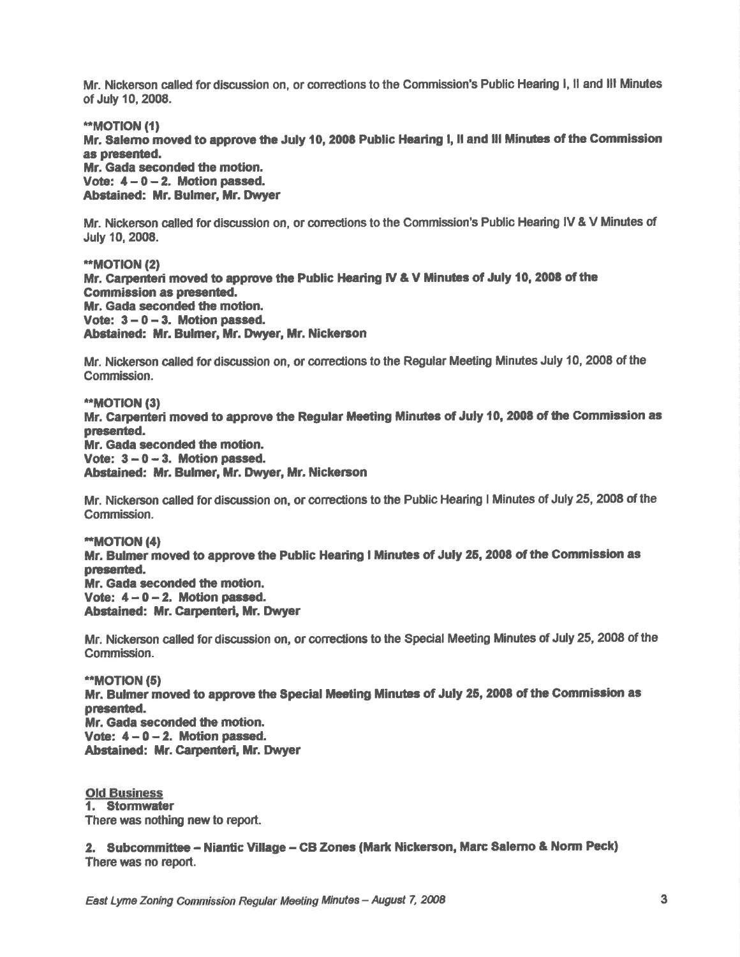Mr. Nickerson called for discussion on, or corrections to the Commission's Public Hearing I, il and III Minutes of July 10,2008.

\*MOT|ON (11

Mr. Salemo moved to approve the July 10, 2008 Public Hearing I, II and III Minutes of the Commission as presented.

Mr. Gada seconded the motion. Vote:  $4-0-2$ . Motion passed, Abstained: Mr. Bulmer, Mr. Dwyer

Mr. Nickerson called for discussion on, or corrections to the Commission's Public Hearing IV & V Minutes of July 10, 2008.

\*MOT|ON (2) Mr. Carpenteri moved to approve the Public Hearing IV & V Minutes of July 10, 2008 of the Commission as presented. Mr. Gada seconded the motion. Vote:  $3 - 0 - 3$ . Motion passed. Abstained: Mr. Bulmer, Mr. Dwyer, Mr. Nickerson

Mr. Nickerson called fordiscussion on, or coneciions to the Regular Meeling Minutes July 10, 2008 of the Commission.

\*\*MOTION (3) Mr. Carpenteri moved to approve the Regular Meeting Minutes of July 10, 2008 of the Commission as presented. Mr. Gada seconded the motion. Vote:  $3 - 0 - 3$ . Motion passed. Abstained: Mr. Bulmer, Mr. Dwyer, Mr. Nickerson

Mr. Nickerson called for discussion on, or corrections to the Public Hearing I Minutes of July 25, 2008 of the Gommission.

\*MOTION (41 Mr. Bulmer moved to approve the Public Hearing I Minutes of July 25, 2008 of the Commission as presented. Mr. Gada seconded the motion. Vote:  $4-0-2$ . Motion passed. Abstained: Mr. Carpenteri, Mr. Dwyer

Mr. Nickerson called for discussion on, or coneclions to the Special Meeting Minutes of July 25, 2008 of the Commission.

\*MOTION (51 Mr. Bulmer moved to approve the Special Meeting Minutes of July 25, 2008 of the Commission as presented. Mr. Gada seconded the motion. Vote:  $4 - 0 - 2$ . Motion passed. Abstained: Mr. Carpenteri, Mr. Dwyer

Old Business 1. Stormwater There was nothing new to report.

2. Subcommittee - Niantic Village - CB Zones (Mark Nickerson, Marc Salerno & Norm Peck) There was no report.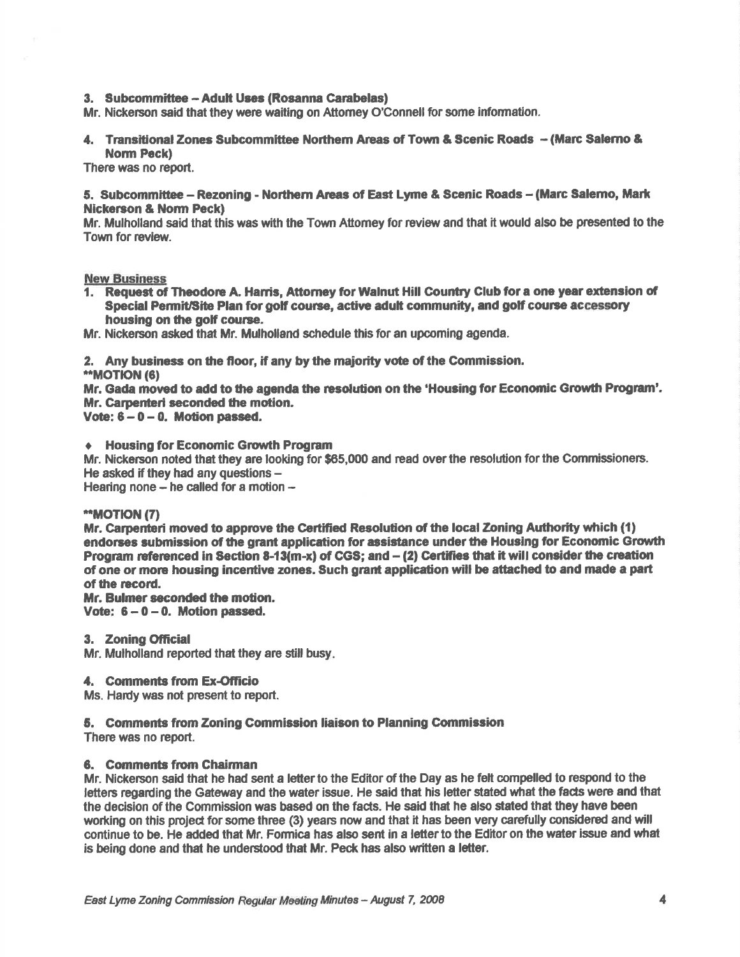### 3. Subcommittee - Adult Uses (Rosanna Carabelas)

Mr. Nickerson said that they were waiting on Attorney O'Connell for some information.

4. Transitional Zones Subcommittee Northern Areas of Town & Scenic Roads - (Marc Salerno & **Norm Peck)** 

There was no report.

### 5. Subcommittee – Rezoning - Northern Areas of East Lyme & Scenic Roads – (Marc Salemo, Mark **Nickerson & Norm Peck)**

Mr. Mulholland said that this was with the Town Attomey for review and that it would also be presented to the Town for review.

### **New Business**

1. Request of Theodore A. Harris, Attorney for Walnut Hill Country Club for a one year extension of Special Permit/Site Plan for golf course, active adult community, and golf course accessory housing on the golf course.

Mr. Nickerson asked that Mr. Mulholland schedule this for an upcoming agenda.

2. Any business on the floor, if any by the maiority vote of the Commission.

\*\*MOTION (6)

Mr. Gada moved to add to the agenda the resolution on the 'Housing for Economic Growth Program'. Mr. Carpenteri seconded the motion.

Vote:  $6 - 0 - 0$ . Motion passed.

## **Housing for Economic Growth Program**

Mr. Nickerson noted that they are looking for \$65,000 and read over the resolution for the Commissioners. He asked if they had any questions -

Hearing none - he called for a motion -

### \*\*MOTION (7)

Mr. Carpenteri moved to approve the Certified Resolution of the local Zoning Authority which (1) endorses submission of the grant application for assistance under the Housing for Economic Growth Program referenced in Section 8-13(m-x) of CGS; and - (2) Certifies that it will consider the creation of one or more housing incentive zones. Such grant application will be attached to and made a part of the record.

Mr. Bulmer seconded the motion. Vote:  $6 - 0 - 0$ . Motion passed.

3. Zoning Official

Mr. Mulholland reported that they are still busy.

### 4. Comments from Ex-Officio

Ms. Hardy was not present to report.

### 5. Comments from Zoning Commission liaison to Planning Commission

There was no report.

## 6. Comments from Chairman

Mr. Nickerson said that he had sent a letter to the Editor of the Day as he felt compelled to respond to the letters regarding the Gateway and the water issue. He said that his letter stated what the facts were and that the decision of the Commission was based on the facts. He said that he also stated that they have been working on this project for some three (3) years now and that it has been very carefully considered and will continue to be. He added that Mr. Formica has also sent in a letter to the Editor on the water issue and what is being done and that he understood that Mr. Peck has also written a letter.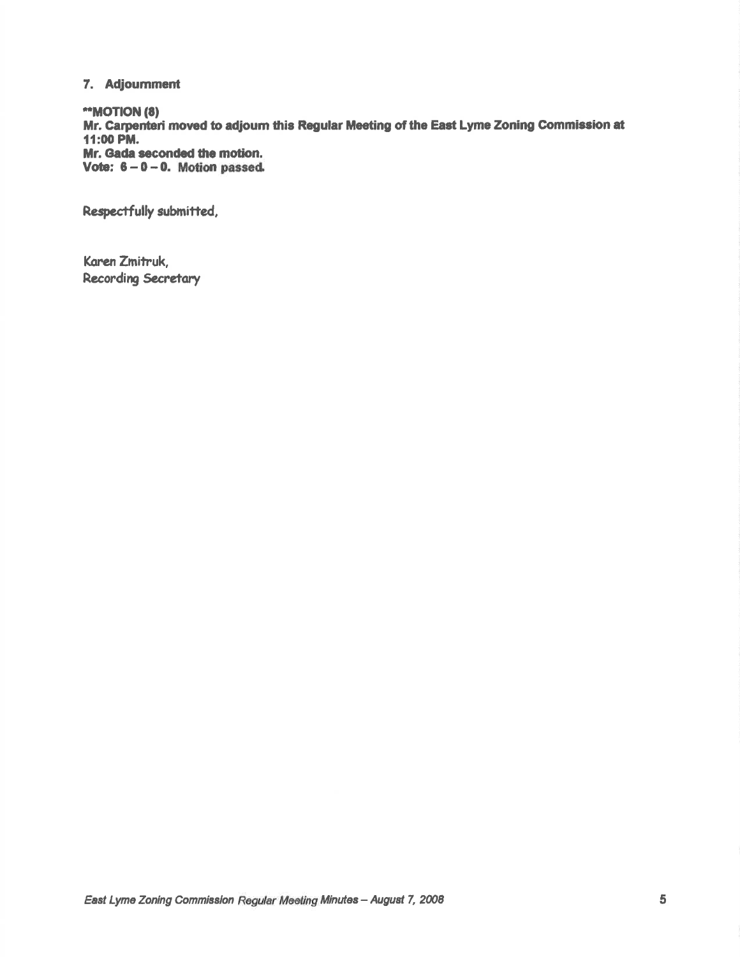# 7. Adjournment

\*\*MOTION (8) Mr. Carpenteri moved to adjourn this Regular Meeting of the East Lyme Zoning Commission at 11:00 PM. Mr. Gada seconded the motion. Vote:  $6 - 0 - 0$ . Motion passed.

Respectfully submitted,

Karen Zmitruk, **Recording Secretary**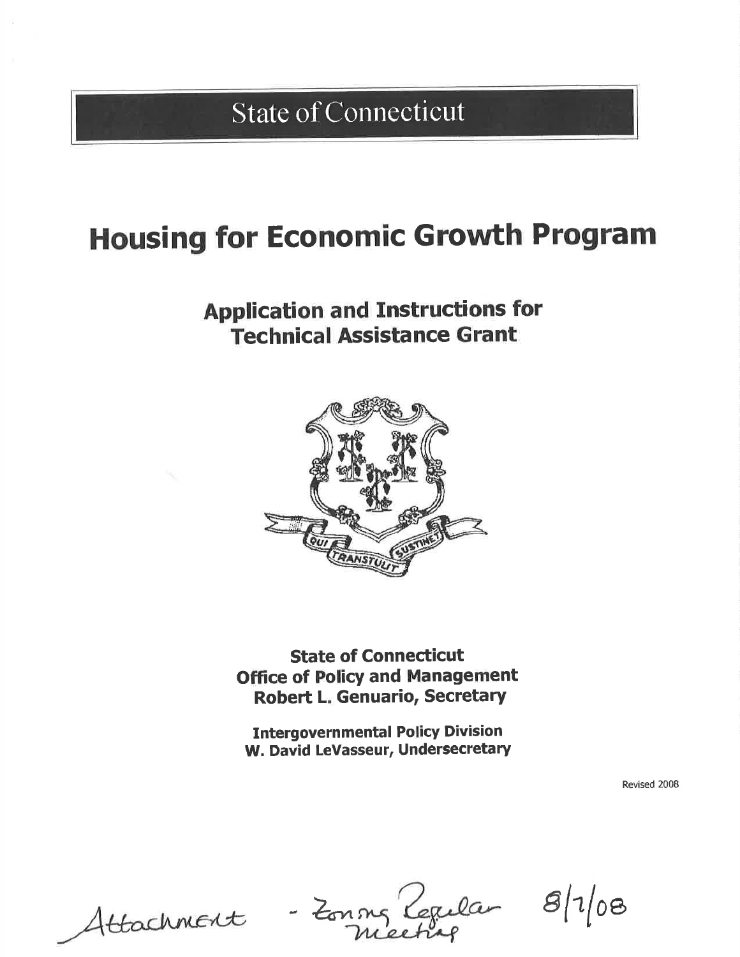State of Connecticut

# Housing for Economic Growth Program

# Application and Instructions for Technical Assistance Grant



State of Connecticut Office of Policy and Management Robert L. Genuario, Secretary

Intergovernmental Policy Division W. David LeVasseur, Undersecretary

Revised 2008

Zonng Cepelar 8/4

 $8/1/08$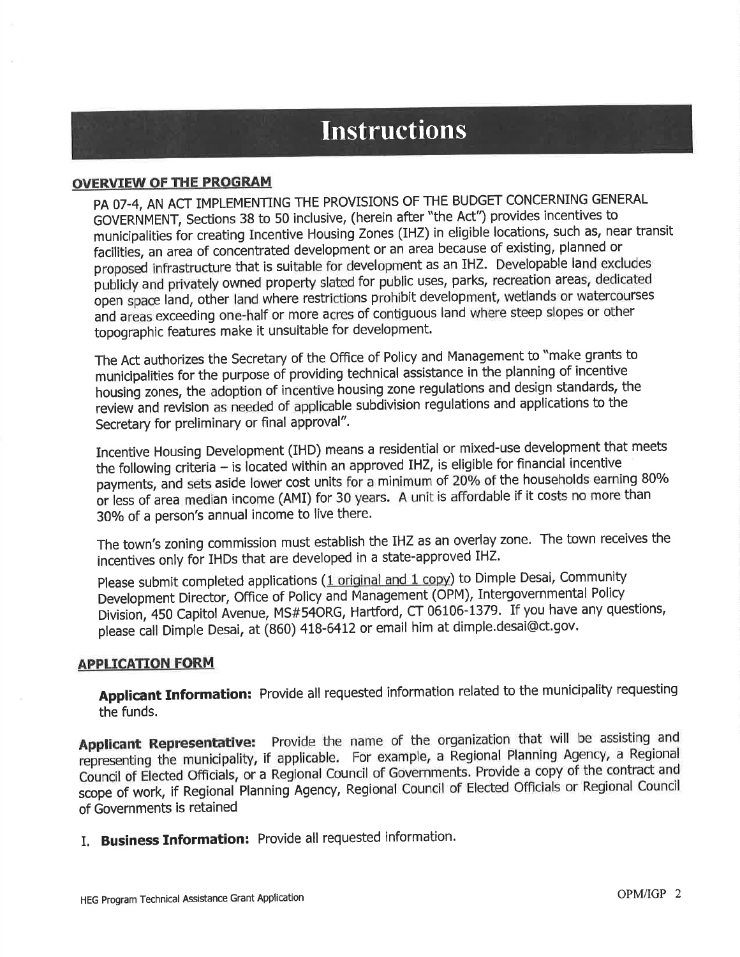# **Instructions**

# OVERVIEW OF THE PROGRAM

PA 07-4, AN ACT IMPLEMENTING THE PROVISIONS OF THE BUDGET CONCERNING GENERAL GOVERNMENT, Sections 38 to 50 inclusive, (herein after "the Act") provides incentives to municipalities for creating Incentive Housing Zones (IHZ) in eligible locations, such as, near transit facilities, an area of concentrated development or an area because of existing, planned or proposed infrastructure that is suitable for development as an IHZ. Developable land excludes publicly and privately owned property slated for public uses, parks, recreation areas, dedicated open space land, other land where restrictions prohibit development, wetlands or watercourses and areas exceeding one-half or more acres of contiguous land where steep slopes or other topographic features make it unsuitable for development.

The Act authorizes the Secretary of the Offlce of Policy and Management to "make grants to municipalities for the purpose of providing technical assistance in the planning of incentive housing zones, the adoption of incentive housing zone regulations and design standards, the review and revision as needed of applicable subdivision regulations and applications to the Secretary for preliminary or final approval".

Incentive Housing Development (IHD) means a residential or mixed-use development that meets the following criteria - is located within an approved IHZ, is eligible for financial incentive payments, and sets aside lower cost units for a minimum of 20% of the households earning 80% or iess of area median income (AMI) for 30 years. A unit is affordable if it costs no more than 30% of a person's annual income to live there.

The town's zoning commission must establish the IHZ as an overlay zone. The town receives the incentives only for IHDs that are developed in a state-approved IHZ.

Please submit completed applications (1 original and 1 copy) to Dimple Desai, Community Development Director, Office of Policy and Management (OPM), Intergovernmental Policy Division,450 Capitol Avenue, MS#54oRG, Hartford, cT 06106-1379, If you have any questions, please call Dimple Desai, at (860) 418-6412 or email him at dimple.desai@ct.gov.

# APPLICATION FORM

Applicant Information: Provide all requested information related to the municipality requesting the funds.

Applicant Representative: Provide the name of the organization that will be assisting and representing the municipality, if applicable. For example, a Regional Planning Agency, a Regional Council of Elected Officials, or a Regional Council of Governments. Provide a copy of the contract and scope of work, if Regional Planning Agency, Regional Council of Elected Officials or Regional Council of Governments is retained

I. Business Information: Provide all requested information.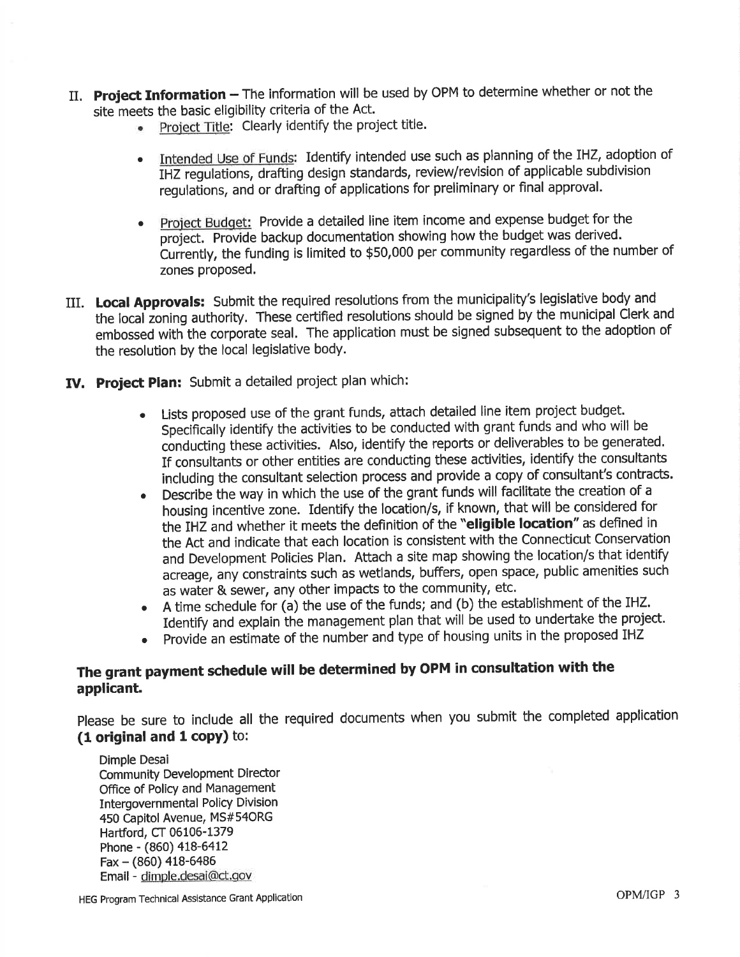- II. Project Information The information will be used by OPM to determine whether or not the site meets the basic eligibility criteria of the Act.
	- Project Title: Clearly identify the project title.
	- . Intended Use of Funds: Identify intended use such as planning of the IHZ, adoption of IHZ regulations, drafting design standards, review/revision of applicable subdivision regulations, and or drafting of applications for preliminary or final approval.
	- Project Budget: Provide a detailed line item income and expense budget for the project. Provide backup documentation showing how the budget was derived. Currently, the funding is limited to \$50,000 per community regardless of the number of zones proposed.
- III. Local Approvals: Submit the required resolutions from the municipality's legislative body and the local zoning authority. These certified resolutions should be signed by the municipal Clerk and embossed with the corporate seal. The application must be signed subsequent to the adoption of the resolution by the local legislative body.
- IV. Project Plan: Submit a detailed project plan which:
	- o Lists proposed use of the grant funds, attach detailed line item project budget. Specifically identify the activities to be conducted with grant funds and who will be conducting these activities. Also, identify the reports or deliverables to be generated. If consultants or other entities are conducting these activities, identify the consultants including the consultant selection process and provide a copy of consultant's contracts.
	- . Describe the way in which the use of the grant funds will facilitate the creation of <sup>a</sup> housing incentive zone. Identify the location/s, if known, that will be considered for the IHZ and whether it meets the definition of the "eligible location" as defined in the Act and indicate that each location is consistent with the Connecticut Conseruation and Development Policies Plan. Attach a site map showing the location/s that identify acreage, any constraints such as wetlands, buffers, open space, public amenities such as water & sewer, any other impacts to the community, etc.
	- o A time schedule for (a) the use of the funds; and (b) the establishment of the IHZ. Identify and explain the management plan that will be used to undertake the project.
	- . provide an estimate of the number and type of housing units in the proposed IHZ

# The grant payment schedule will be determined by OPM in consultation with the applicant.

please be sure to include all the required documents when you submit the completed application (1 original and 1 copy) to:

Dimple Desai Community Development Director Office of Policy and Management Intergovernmental Policy Division 450 Capitol Avenue, MS#54ORG Hartford, CT 06106-1379 Phone - (860) 418-6412  $Fax - (860)$  418-6486 Email - dimple.desai@ct.gov

HEG Program Technical Assistance Grant Application **COPING ACCOMPLIGATES** OPM/IGP 3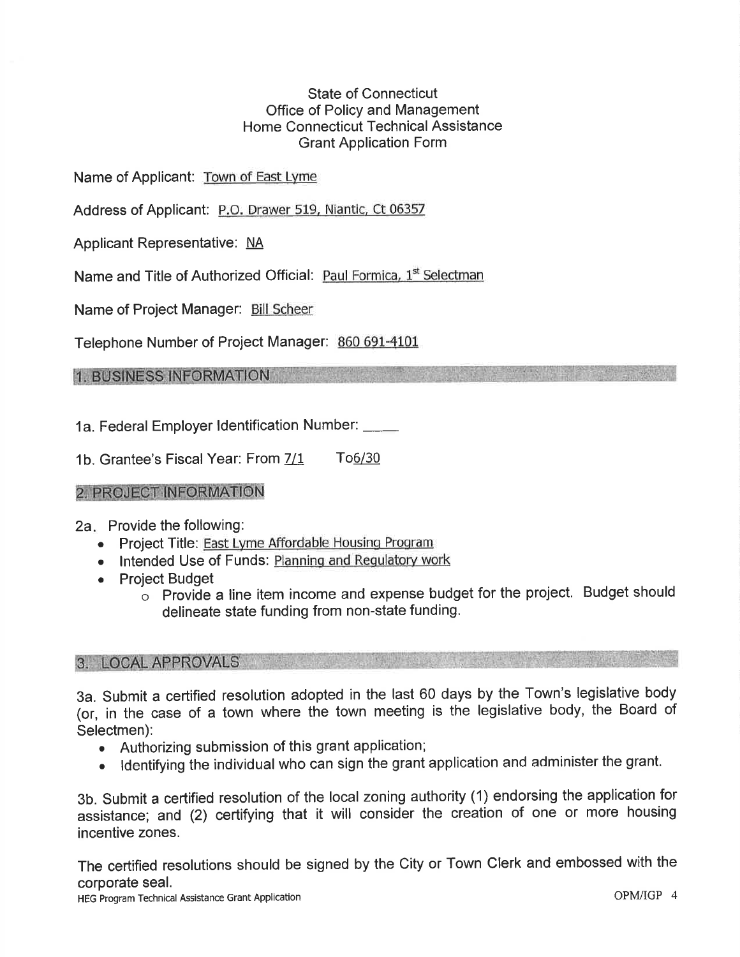# State of Connecticut Office of Policy and Management Home Connecticut Technical Assistance Grant Application Form

Name of Applicant: Town of East Lyme

Address of Applicant: P.O. Drawer 519, Niantic, Ct 06357

Applicant Representative: NA

Name and Title of Authorized Official: Paul Formica, 1st Selectman

Name of Project Manager: Bill Scheer

Telephone Number of Project Manager: 860 691-4101

1. BUSINESS INFORMATION

1a. Federal Employer ldentification Number:

1b. Grantee's Fiscal Year: From  $\frac{7}{1}$  To6/30

# 2. PROJECT INFORMATION

2a Provide the following:

- Project Title: East Lyme Affordable Housing Program
- Intended Use of Funds: Planning and Regulatory work
- Project Budget
	- $\circ$  Provide a line item income and expense budget for the project. Budget should delineate state funding from non-state funding.

# 3. LOCAL APPROVALS

3a. Submit a certified resolution adopted in the last 60 days by the Town's legislative body (or, in the case of a town where the town meeting is the legislative body, the Board of Selectmen):

- Authorizing submission of this grant application;
- o ldentifying the individual who can sign the grant application and administer the grant.

3b. Submit a certified resolution of the local zoning authority (1) endorsing the application for assistance; and (2) certifying that it will consider the creation of one or more housing incentive zones.

The certified resolutions should be signed by the City or Town Clerk and embossed with the corporate seal.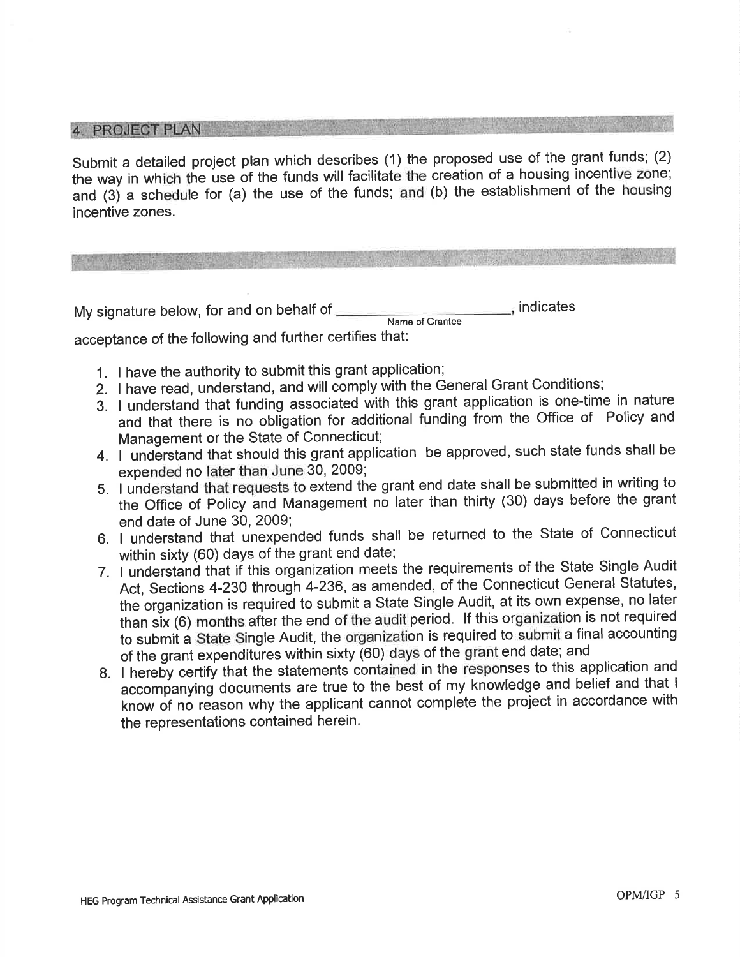4 PROJECT PLAN

Submit a detailed project plan which describes (1) the proposed use of the grant funds; (2) the way in which the use of the funds will facilitate the creation of a housing incentive zone; and (3j a schedule for (a) the use of the funds; and (b) the establishment of the housing incentive zones.

My signature below, for and on behalf of **indicates** indicates Name of Grantee acceptance of the following and further certifies that:

- 1. I have the authority to submit this grant application;
- Z. I have read, understand, and will comply with the General Grant Conditions;
- 3. I understand that funding associated with this grant application is one-time in nature and that there is no obiigation for additional funding from the Office of Policy and Management or the State of Connecticut;
- 4. I understand that should this grant application be approved, such state funds shall be expended no later than June 30, 2009;
- 5. I understand that requests to extend the grant end date shall be submitted in writing to the Office of policy and Management no later than thirty (30) days before the grant end date of June 30, 2009;
- 6. I understand that unexpended funds shall be returned to the State of Connecticut within sixty (60) days of the grant end date;
- 7. I understand that if this organization meets the requirements of the State Single Audit Act, Sections 4-230 through 4-236, as amended, of the Connecticut General Statutes, the organization is required to submit a State Single Audit, at its own expense, no later than six (6) months after the end of the audit period. If this organization is not required to submit a State Single Audit, the organization is required to submit a final accounting of the grant expenditures within sixty (60) days of the grant end date; and
- 8. I hereby certify that the statements contained in the responses to this application and accompanying documents are true to the best of my knowledge and belief and that <sup>I</sup> know of no reason why the applicant cannot complete the project in accordance with the representations contained herein.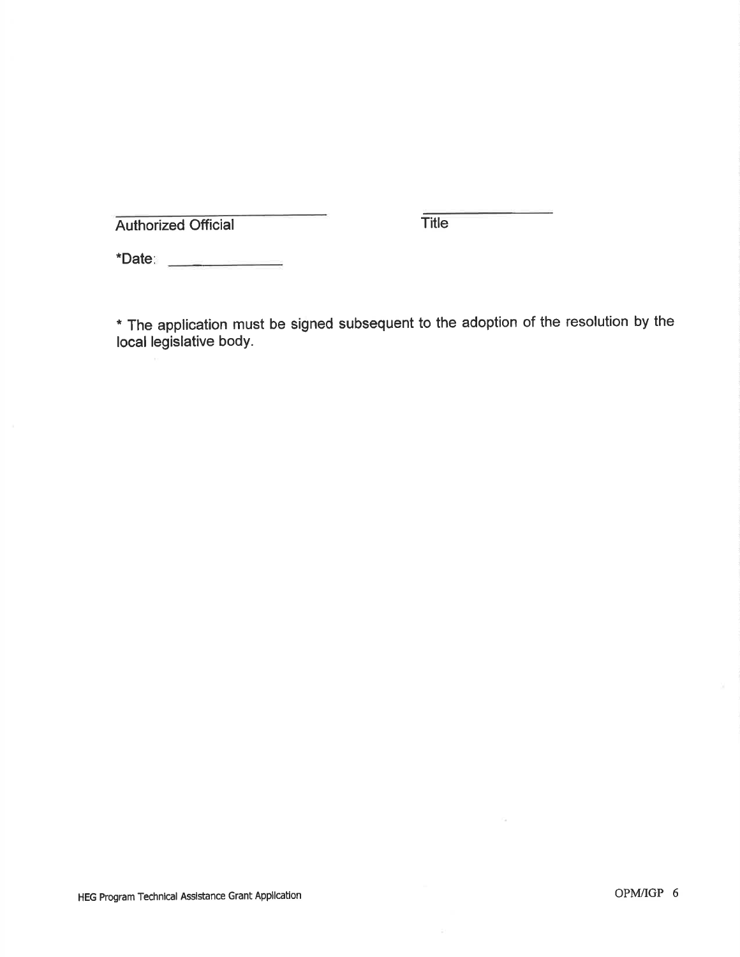Authorized Official Title

\*Date

\* The application must be signed subsequent to the adoption of the resolution by the Iocal legislative bodY.

 $\mathcal{C}_\mathcal{A}$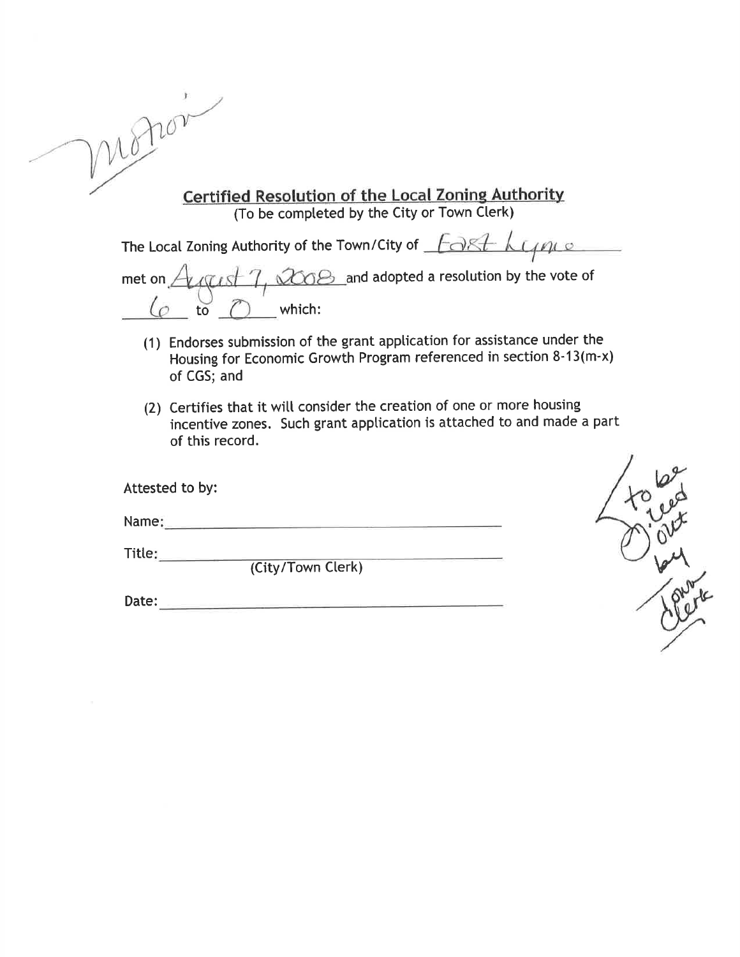| V A |                      |
|-----|----------------------|
|     | <b>Certified Res</b> |

Certified Resolution of the Local Zoning Authority (To be completed by the City or Town Clerk)

The Local Zoning Authority of the Town/City of  $F\rightarrow K$ 

met on  $A$   $\alpha$  at  $7, \alpha$   $\alpha$  and adopted a resolution by the vote of to which:

- (1) Endorses submission of the grant apptication for assistance under the Housing for Economic Growth Program referenced in section 8-13(m'x) of CGS; and
- (2) Certifies that it witt consider the creation of one or more housing incentive zones. Such grant apptication is attached to and made a part of this record.

| Attested to by: |                   |  |
|-----------------|-------------------|--|
| Name:           |                   |  |
| Title:          | (City/Town Clerk) |  |
| Date:           |                   |  |

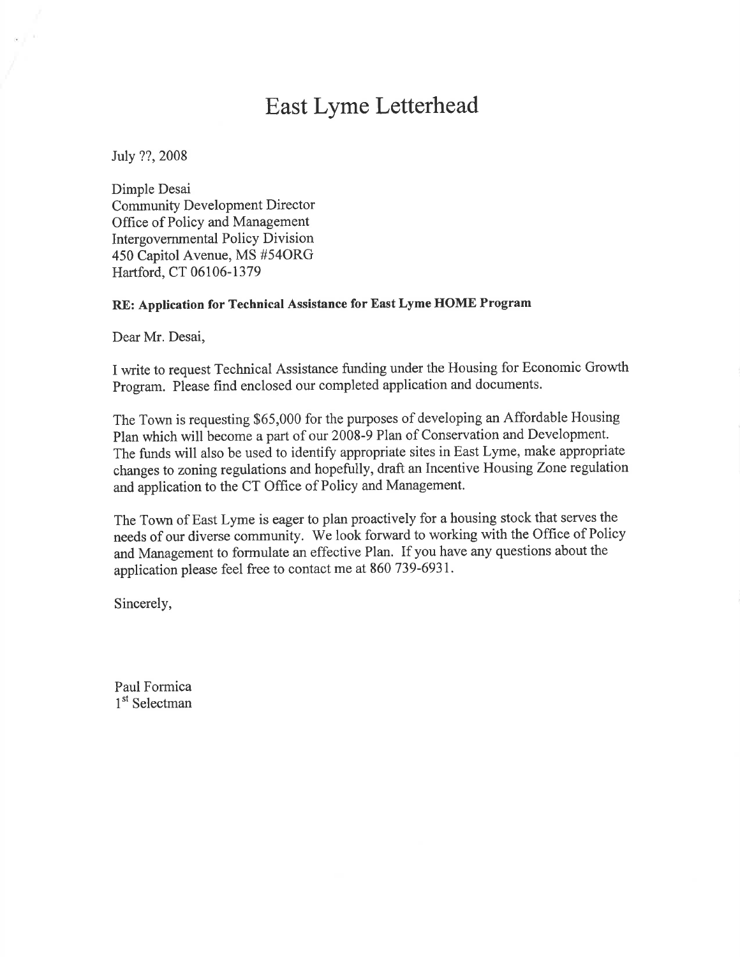# East Lyme Letterhead

July ??, 2008

Dimple Desai Community Development Director Office of Policy and Management Intergovernmental Policy Division 450 Capitol Avenue, MS #54ORG Hartford, CT 06106-1379

## RE: Application for Technical Assistance for East Lyme HOME Program

Dear Mr. Desai,

I write to request Technical Assistance funding under the Housing for Economic Growth Program. Please find enclosed our completed application and documents.

The Town is requesting \$65,000 for the purposes of developing an Affordable Housing Plan which will become a part of our 2008-9 Plan of Conservation and Development. The funds will also be used to identify appropriate sites in East Lyme, make appropriate changes to zoning regulations and hopefully, draft an Incentive Housing Zone regulation and application to the CT Office of Policy and Management.

The Town of East Lyme is eager to plan proactively for a housing stock that serves the needs of our diverse community. We look forward to working with the Office of Policy and Management to formulate an effective Plan. If you have any questions about the application please feel free to contact me at 860 739-693I.

Sincerely,

Paul Formica 1<sup>st</sup> Selectman